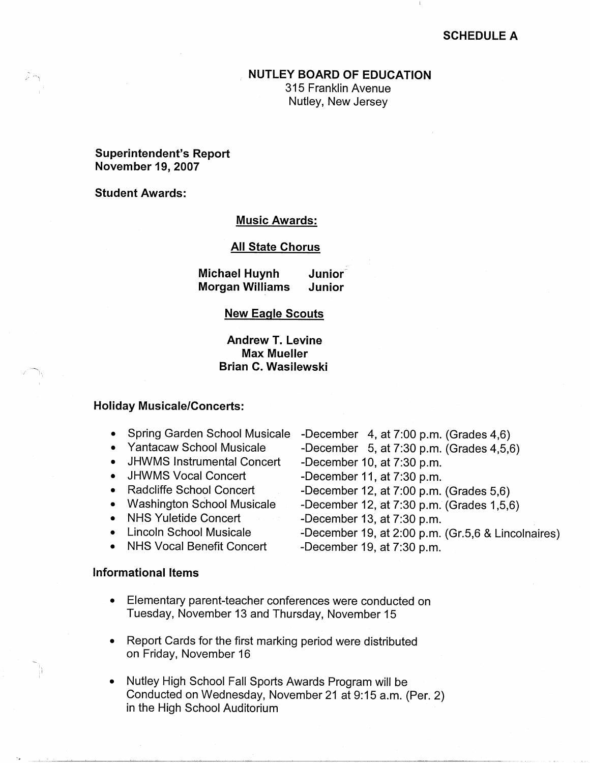## **SCHEDULE A**

### **NUTLEY BOARD OF EDUCATION**

315 Franklin Avenue Nutley, New Jersey

# **Superintendent's Report November 19, 2007**

**Student Awards:** 

### **Music Awards:**

#### **All State Chorus**

**Michael Huynh Junior-Morgan Williams Junior** 

### **New Eagle Scouts**

**Andrew T. Levine Max Mueller Brian C. Wasilewski** 

### **Holiday Musicale/Concerts:**

- Spring Garden School Musicale -December 4, at 7:00 p.m. (Grades 4,6)
	- Yantacaw School Musicale
	- JHWMS Instrumental Concert
	- JHWMS Vocal Concert
	- Radcliffe School Concert
	- Washington School Musicale
	- NHS Yuletide Concert
	- Lincoln School Musicale
	- NHS Vocal Benefit Concert

## **Informational Items**

- -December 5, at 7:30 p.m. (Grades 4,5,6)
- -December 10, at 7:30 p.m.
- -December 11, at 7:30 p.m.
- -December 12, at 7:00 p.m. (Grades 5,6)
- -December 12, at 7:30 p.m. (Grades 1,5,6)
- -December 13, at 7:30 p.m.
- :..December 19, at 2:00 p.m. (Gr.5,6 & Lincolnaires)
- -December 19, at 7:30 p.m.
- Elementary parent-teacher conferences were conducted on Tuesday, November 13 and Thursday, November 15
- Report Cards for the first marking period were distributed on Friday, November 16
- Nutley High School Fall Sports Awards Program will be Conducted on Wednesday, November 21 at 9:15 a.m. (Per. 2) in the High School Auditorium